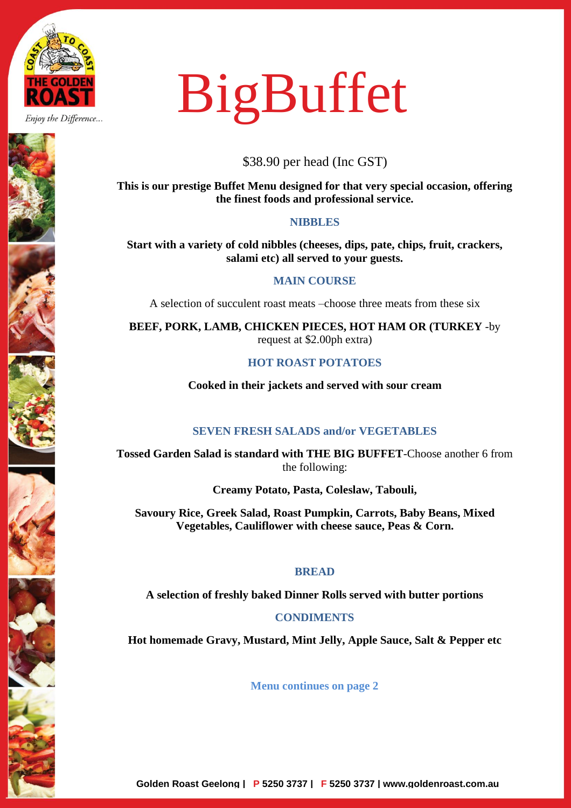

Enjoy the Difference...

# BigBuffet

\$38.90 per head (Inc GST)

**This is our prestige Buffet Menu designed for that very special occasion, offering the finest foods and professional service.**

# **NIBBLES**

**Start with a variety of cold nibbles (cheeses, dips, pate, chips, fruit, crackers, salami etc) all served to your guests.**

# **MAIN COURSE**

A selection of succulent roast meats –choose three meats from these six

**BEEF, PORK, LAMB, CHICKEN PIECES, HOT HAM OR (TURKEY** -by request at \$2.00ph extra)

# **HOT ROAST POTATOES**

**Cooked in their jackets and served with sour cream**

# **SEVEN FRESH SALADS and/or VEGETABLES**

**Tossed Garden Salad is standard with THE BIG BUFFET**-Choose another 6 from the following:

**Creamy Potato, Pasta, Coleslaw, Tabouli,**

**Savoury Rice, Greek Salad, Roast Pumpkin, Carrots, Baby Beans, Mixed Vegetables, Cauliflower with cheese sauce, Peas & Corn.**

## **BREAD**

**A selection of freshly baked Dinner Rolls served with butter portions**

## **CONDIMENTS**

**Hot homemade Gravy, Mustard, Mint Jelly, Apple Sauce, Salt & Pepper etc**

**Menu continues on page 2**